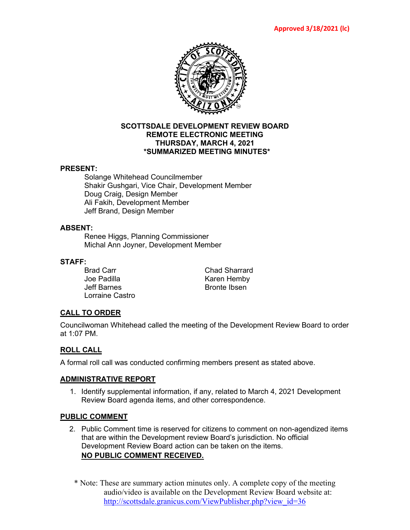

#### **SCOTTSDALE DEVELOPMENT REVIEW BOARD REMOTE ELECTRONIC MEETING THURSDAY, MARCH 4, 2021 \*SUMMARIZED MEETING MINUTES\***

#### **PRESENT:**

Solange Whitehead Councilmember Shakir Gushgari, Vice Chair, Development Member Doug Craig, Design Member Ali Fakih, Development Member Jeff Brand, Design Member

#### **ABSENT:**

Renee Higgs, Planning Commissioner Michal Ann Joyner, Development Member

#### **STAFF:**

Brad Carr Chad Sharrard Jeff Barnes **Bronte Ibsen** Lorraine Castro

Karen Hemby

# **CALL TO ORDER**

Councilwoman Whitehead called the meeting of the Development Review Board to order at 1:07 PM.

# **ROLL CALL**

A formal roll call was conducted confirming members present as stated above.

# **ADMINISTRATIVE REPORT**

1. Identify supplemental information, if any, related to March 4, 2021 Development Review Board agenda items, and other correspondence.

#### **PUBLIC COMMENT**

- 2. Public Comment time is reserved for citizens to comment on non-agendized items that are within the Development review Board's jurisdiction. No official Development Review Board action can be taken on the items. **NO PUBLIC COMMENT RECEIVED.**
	- \* Note: These are summary action minutes only. A complete copy of the meeting audio/video is available on the Development Review Board website at: [http://scottsdale.granicus.com/ViewPublisher.php?view\\_id=36](http://scottsdale.granicus.com/ViewPublisher.php?view_id=36)